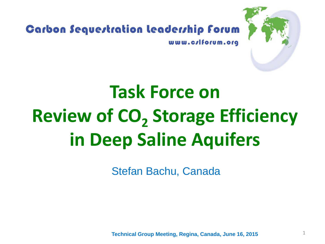

# **Task Force on Review of CO<sub>2</sub> Storage Efficiency in Deep Saline Aquifers**

Stefan Bachu, Canada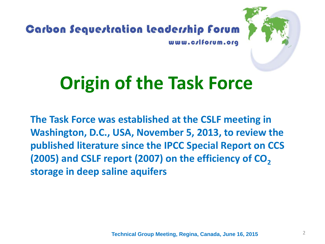

### **Origin of the Task Force**

**The Task Force was established at the CSLF meeting in Washington, D.C., USA, November 5, 2013, to review the published literature since the IPCC Special Report on CCS (2005) and CSLF report (2007) on the efficiency of CO<sub>2</sub> storage in deep saline aquifers**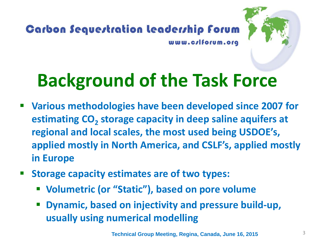



### **Background of the Task Force**

- **Various methodologies have been developed since 2007 for estimating CO<sub>2</sub> storage capacity in deep saline aquifers at regional and local scales, the most used being USDOE's, applied mostly in North America, and CSLF's, applied mostly in Europe**
- **F** Storage capacity estimates are of two types:
	- **Volumetric (or "Static"), based on pore volume**
	- **Dynamic, based on injectivity and pressure build-up, usually using numerical modelling**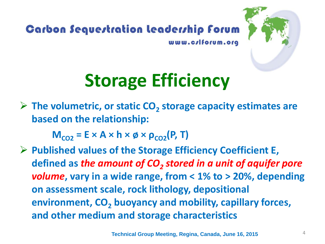



### **Storage Efficiency**

**► The volumetric, or static CO<sub>2</sub> storage capacity estimates are based on the relationship:**

 $M_{CO2} = E \times A \times h \times \emptyset \times \rho_{CO2}(P, T)$ 

 **Published values of the Storage Efficiency Coefficient E,**  defined as *the amount of CO<sub>2</sub> stored in a unit of aquifer pore volume***, vary in a wide range, from < 1% to > 20%, depending on assessment scale, rock lithology, depositional environment, CO<sub>2</sub> buoyancy and mobility, capillary forces, and other medium and storage characteristics**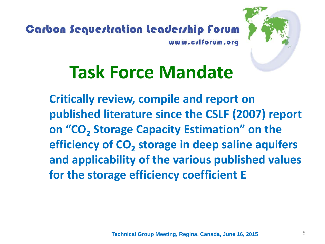

### **Task Force Mandate**

**Critically review, compile and report on published literature since the CSLF (2007) report on "CO<sub>2</sub> Storage Capacity Estimation" on the efficiency of CO<sub>2</sub> storage in deep saline aquifers and applicability of the various published values for the storage efficiency coefficient E**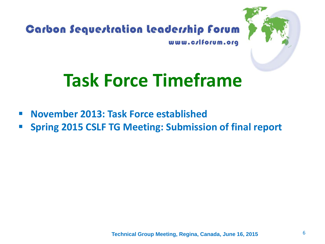

### **Task Force Timeframe**

- **November 2013: Task Force established**
- **Spring 2015 CSLF TG Meeting: Submission of final report**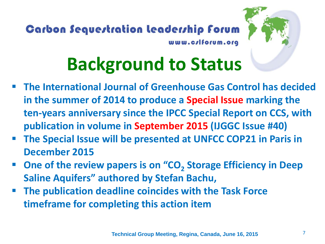



## **Background to Status**

- **The International Journal of Greenhouse Gas Control has decided in the summer of 2014 to produce a Special Issue marking the ten-years anniversary since the IPCC Special Report on CCS, with publication in volume in September 2015 (IJGGC Issue #40)**
- **The Special Issue will be presented at UNFCC COP21 in Paris in December 2015**
- **P** One of the review papers is on "CO<sub>2</sub> Storage Efficiency in Deep **Saline Aquifers" authored by Stefan Bachu,**
- **The publication deadline coincides with the Task Force timeframe for completing this action item**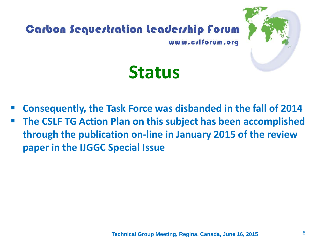

- **Consequently, the Task Force was disbanded in the fall of 2014**
- **The CSLF TG Action Plan on this subject has been accomplished through the publication on-line in January 2015 of the review paper in the IJGGC Special Issue**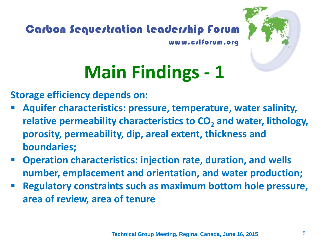

# **Main Findings - 1**

**Storage efficiency depends on:**

- **Aquifer characteristics: pressure, temperature, water salinity, relative permeability characteristics to CO<sub>2</sub> and water, lithology, porosity, permeability, dip, areal extent, thickness and boundaries;**
- **Operation characteristics: injection rate, duration, and wells number, emplacement and orientation, and water production;**
- **Regulatory constraints such as maximum bottom hole pressure, area of review, area of tenure**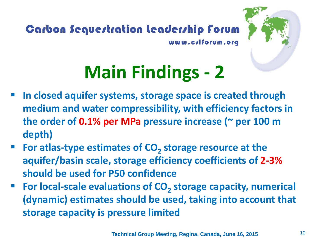

# **Main Findings - 2**

- **In closed aquifer systems, storage space is created through medium and water compressibility, with efficiency factors in the order of 0.1% per MPa pressure increase (~ per 100 m depth)**
- **For atlas-type estimates of CO<sub>2</sub> storage resource at the aquifer/basin scale, storage efficiency coefficients of 2-3% should be used for P50 confidence**
- For local-scale evaluations of CO<sub>2</sub> storage capacity, numerical **(dynamic) estimates should be used, taking into account that storage capacity is pressure limited**